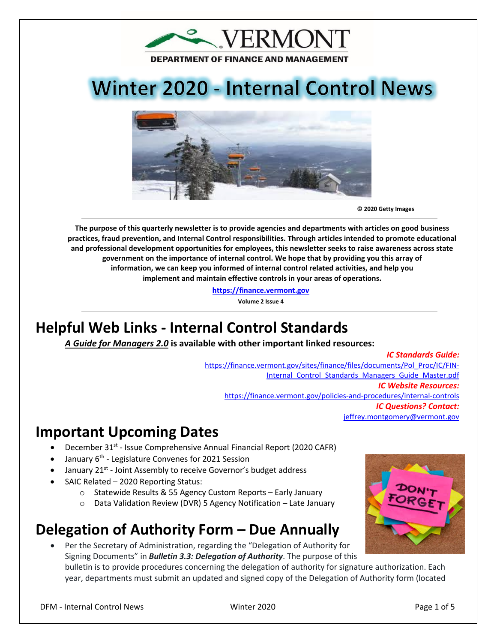

# **Winter 2020 - Internal Control News**



**© 2020 Getty Images** 

**The purpose of this quarterly newsletter is to provide agencies and departments with articles on good business practices, fraud prevention, and Internal Control responsibilities. Through articles intended to promote educational and professional development opportunities for employees, this newsletter seeks to raise awareness across state government on the importance of internal control. We hope that by providing you this array of information, we can keep you informed of internal control related activities, and help you implement and maintain effective controls in your areas of operations.**

**[https://finance.vermont.gov](https://finance.vermont.gov/)**

**Volume 2 Issue 4**

### **Helpful Web Links - Internal Control Standards**

*A Guide for Managers 2.0* **is available with other important linked resources:** 

*IC Standards Guide:* [https://finance.vermont.gov/sites/finance/files/documents/Pol\\_Proc/IC/FIN-](https://finance.vermont.gov/sites/finance/files/documents/Pol_Proc/IC/FIN-Internal_Control_Standards_Managers_Guide_Master.pdf)Internal Control Standards Managers Guide Master.pdf *IC Website Resources:*  <https://finance.vermont.gov/policies-and-procedures/internal-controls> *IC Questions? Contact:* [jeffrey.montgomery@vermont.gov](mailto:jeffrey.montgomery@vermont.gov)

## **Important Upcoming Dates**

- December 31<sup>st</sup> Issue Comprehensive Annual Financial Report (2020 CAFR)
- January 6<sup>th</sup> Legislature Convenes for 2021 Session
- January 21<sup>st</sup> Joint Assembly to receive Governor's budget address
- SAIC Related 2020 Reporting Status:
	- o Statewide Results & 55 Agency Custom Reports Early January
	- o Data Validation Review (DVR) 5 Agency Notification Late January

#### **Delegation of Authority Form – Due Annually**

Per the Secretary of Administration, regarding the "Delegation of Authority for Signing Documents" in *Bulletin 3.3: Delegation of Authority*. The purpose of this

bulletin is to provide procedures concerning the delegation of authority for signature authorization. Each year, departments must submit an updated and signed copy of the Delegation of Authority form (located

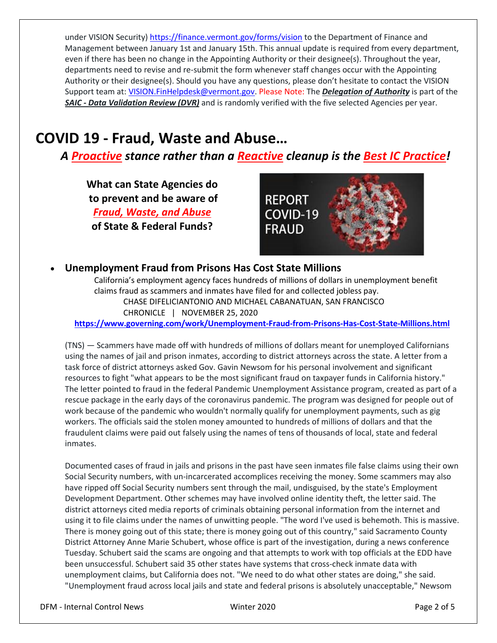under VISION Security) <https://finance.vermont.gov/forms/vision> to the Department of Finance and Management between January 1st and January 15th. This annual update is required from every department, even if there has been no change in the Appointing Authority or their designee(s). Throughout the year, departments need to revise and re-submit the form whenever staff changes occur with the Appointing Authority or their designee(s). Should you have any questions, please don't hesitate to contact the VISION Support team at: [VISION.FinHelpdesk@vermont.gov.](mailto:VISION.FinHelpdesk@vermont.gov) Please Note: The *Delegation of Authority* is part of the *SAIC - Data Validation Review (DVR)* and is randomly verified with the five selected Agencies per year.

#### **COVID 19 - Fraud, Waste and Abuse…**

*A Proactive stance rather than a Reactive cleanup is the Best IC Practice!*

**What can State Agencies do to prevent and be aware of** *Fraud, Waste, and Abuse* **of State & Federal Funds?**



#### • **Unemployment Fraud from Prisons Has Cost State Millions**

California's employment agency faces hundreds of millions of dollars in unemployment benefit claims fraud as scammers and inmates have filed for and collected jobless pay. CHASE DIFELICIANTONIO AND MICHAEL CABANATUAN, SAN FRANCISCO CHRONICLE | NOVEMBER 25, 2020 **<https://www.governing.com/work/Unemployment-Fraud-from-Prisons-Has-Cost-State-Millions.html>**

(TNS) — Scammers have made off with hundreds of millions of dollars meant for unemployed Californians using the names of jail and prison inmates, according to district attorneys across the state. A letter from a task force of district attorneys asked Gov. Gavin Newsom for his personal involvement and significant resources to fight "what appears to be the most significant fraud on taxpayer funds in California history." The letter pointed to fraud in the federal Pandemic Unemployment Assistance program, created as part of a rescue package in the early days of the coronavirus pandemic. The program was designed for people out of work because of the pandemic who wouldn't normally qualify for unemployment payments, such as gig workers. The officials said the stolen money amounted to hundreds of millions of dollars and that the fraudulent claims were paid out falsely using the names of tens of thousands of local, state and federal inmates.

Documented cases of fraud in jails and prisons in the past have seen inmates file false claims using their own Social Security numbers, with un-incarcerated accomplices receiving the money. Some scammers may also have ripped off Social Security numbers sent through the mail, undisguised, by the state's Employment Development Department. Other schemes may have involved online identity theft, the letter said. The district attorneys cited media reports of criminals obtaining personal information from the internet and using it to file claims under the names of unwitting people. "The word I've used is behemoth. This is massive. There is money going out of this state; there is money going out of this country," said Sacramento County District Attorney Anne Marie Schubert, whose office is part of the investigation, during a news conference Tuesday. Schubert said the scams are ongoing and that attempts to work with top officials at the EDD have been unsuccessful. Schubert said 35 other states have systems that cross-check inmate data with unemployment claims, but California does not. "We need to do what other states are doing," she said. "Unemployment fraud across local jails and state and federal prisons is absolutely unacceptable," Newsom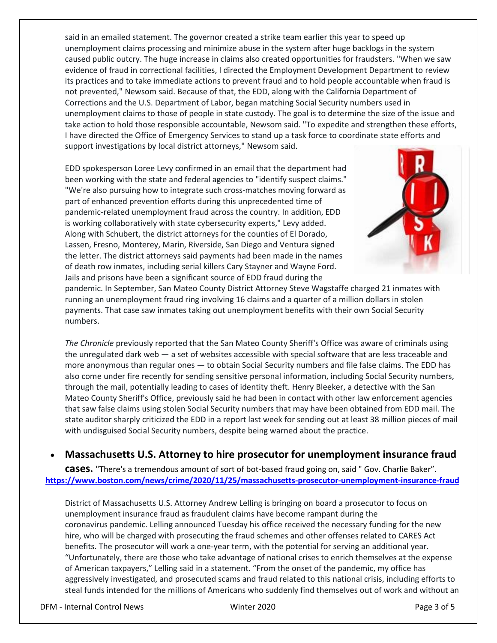said in an emailed statement. The governor created a strike team earlier this year to speed up unemployment claims processing and minimize abuse in the system after huge backlogs in the system caused public outcry. The huge increase in claims also created opportunities for fraudsters. "When we saw evidence of fraud in correctional facilities, I directed the Employment Development Department to review its practices and to take immediate actions to prevent fraud and to hold people accountable when fraud is not prevented," Newsom said. Because of that, the EDD, along with the California Department of Corrections and the U.S. Department of Labor, began matching Social Security numbers used in unemployment claims to those of people in state custody. The goal is to determine the size of the issue and take action to hold those responsible accountable, Newsom said. "To expedite and strengthen these efforts, I have directed the Office of Emergency Services to stand up a task force to coordinate state efforts and support investigations by local district attorneys," Newsom said.

EDD spokesperson Loree Levy confirmed in an email that the department had been working with the state and federal agencies to "identify suspect claims." "We're also pursuing how to integrate such cross-matches moving forward as part of enhanced prevention efforts during this unprecedented time of pandemic-related unemployment fraud across the country. In addition, EDD is working collaboratively with state cybersecurity experts," Levy added. Along with Schubert, the district attorneys for the counties of El Dorado, Lassen, Fresno, Monterey, Marin, Riverside, San Diego and Ventura signed the letter. The district attorneys said payments had been made in the names of death row inmates, including serial killers Cary Stayner and Wayne Ford. Jails and prisons have been a significant source of EDD fraud during the



pandemic. In September, San Mateo County District Attorney Steve Wagstaffe charged 21 inmates with running an unemployment fraud ring involving 16 claims and a quarter of a million dollars in stolen payments. That case saw inmates taking out unemployment benefits with their own Social Security numbers.

*The Chronicle* previously reported that the San Mateo County Sheriff's Office was aware of criminals using the unregulated dark web — a set of websites accessible with special software that are less traceable and more anonymous than regular ones — to obtain Social Security numbers and file false claims. The EDD has also come under fire recently for sending sensitive personal information, including Social Security numbers, through the mail, potentially leading to cases of identity theft. Henry Bleeker, a detective with the San Mateo County Sheriff's Office, previously said he had been in contact with other law enforcement agencies that saw false claims using stolen Social Security numbers that may have been obtained from EDD mail. The state auditor sharply criticized the EDD in a report last week for sending out at least 38 million pieces of mail with undisguised Social Security numbers, despite being warned about the practice.

#### • **Massachusetts U.S. Attorney to hire prosecutor for unemployment insurance fraud**

**cases.** "There's a tremendous amount of sort of bot-based fraud going on, said " Gov. Charlie Baker". **<https://www.boston.com/news/crime/2020/11/25/massachusetts-prosecutor-unemployment-insurance-fraud>**

District of Massachusetts U.S. Attorney Andrew Lelling is bringing on board a prosecutor to focus on unemployment insurance fraud as fraudulent claims have become rampant during the [coronavirus](https://www.boston.com/tag/coronavirus) pandemic. Lelling [announced](https://www.justice.gov/usao-ma/pr/district-massachusetts-receives-funding-hire-prosecutor-combat-unemployment-insurance) Tuesday his office received the necessary funding for [the new](https://www.justice.gov/legal-careers/job/assistant-united-states-attorney-1193)  [hire,](https://www.justice.gov/legal-careers/job/assistant-united-states-attorney-1193) who will be charged with prosecuting the fraud schemes and other offenses related to CARES Act benefits. The prosecutor will work a one-year term, with the potential for serving an additional year. "Unfortunately, there are those who take advantage of national crises to enrich themselves at the expense of American taxpayers," Lelling said in a statement. "From the onset of the pandemic, my office has aggressively investigated, and prosecuted scams and fraud related to this national crisis, including efforts to steal funds intended for the millions of Americans who suddenly find themselves out of work and without an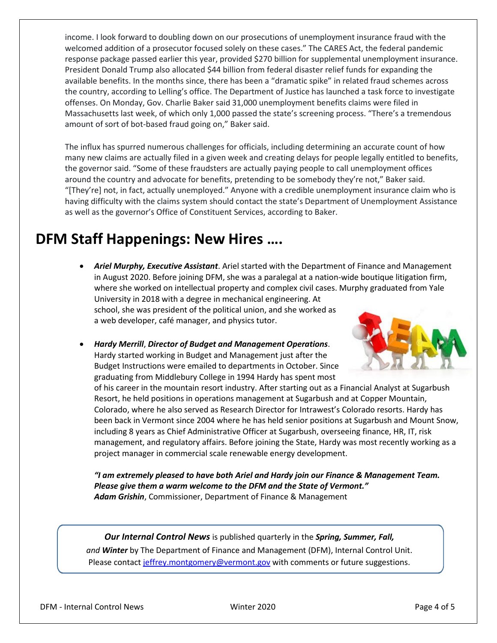income. I look forward to doubling down on our prosecutions of unemployment insurance fraud with the welcomed addition of a prosecutor focused solely on these cases." The CARES Act, the federal pandemic response package passed earlier this year, provided \$270 billion for supplemental unemployment insurance. President Donald Trump also allocated \$44 billion from federal disaster relief funds for expanding the available benefits. In the months since, there has been a "dramatic spike" in related fraud schemes across the country, according to Lelling's office. The Department of Justice has launched a task force to investigate offenses. On Monday, Gov. Charlie Baker said 31,000 unemployment benefits claims were filed in Massachusetts last week, of which only 1,000 passed the state's screening process. "There's a tremendous amount of sort of bot-based fraud going on," Baker said.

The influx has spurred numerous challenges for officials, including determining an accurate count of how many new claims are actually filed in a given week and creating delays for people legally entitled to benefits, the governor said. "Some of these fraudsters are actually paying people to call unemployment offices around the country and advocate for benefits, pretending to be somebody they're not," Baker said. "[They're] not, in fact, actually unemployed." Anyone with a credible unemployment insurance claim who is having difficulty with the claims system should contact the state's Department of Unemployment Assistance as well as the governor's Office of Constituent Services, according to Baker.

### **DFM Staff Happenings: New Hires ….**

• *Ariel Murphy, Executive Assistant*. Ariel started with the Department of Finance and Management in August 2020. Before joining DFM, she was a paralegal at a nation-wide boutique litigation firm, where she worked on intellectual property and complex civil cases. Murphy graduated from Yale University in 2018 with a degree in mechanical engineering. At school, she was president of the political union, and she worked as a web developer, café manager, and physics tutor.



• *Hardy Merrill*, *Director of Budget and Management Operations*. Hardy started working in Budget and Management just after the Budget Instructions were emailed to departments in October. Since graduating from Middlebury College in 1994 Hardy has spent most

of his career in the mountain resort industry. After starting out as a Financial Analyst at Sugarbush Resort, he held positions in operations management at Sugarbush and at Copper Mountain, Colorado, where he also served as Research Director for Intrawest's Colorado resorts. Hardy has been back in Vermont since 2004 where he has held senior positions at Sugarbush and Mount Snow, including 8 years as Chief Administrative Officer at Sugarbush, overseeing finance, HR, IT, risk management, and regulatory affairs. Before joining the State, Hardy was most recently working as a project manager in commercial scale renewable energy development.

*"I am extremely pleased to have both Ariel and Hardy join our Finance & Management Team. Please give them a warm welcome to the DFM and the State of Vermont." Adam Grishin*, Commissioner, Department of Finance & Management

*Our Internal Control News* is published quarterly in the *Spring, Summer, Fall, and Winter* by The Department of Finance and Management (DFM), Internal Control Unit. Please contact [jeffrey.montgomery@vermont.gov](mailto:Jeffrey.Montgomery@vermont.gov) with comments or future suggestions.